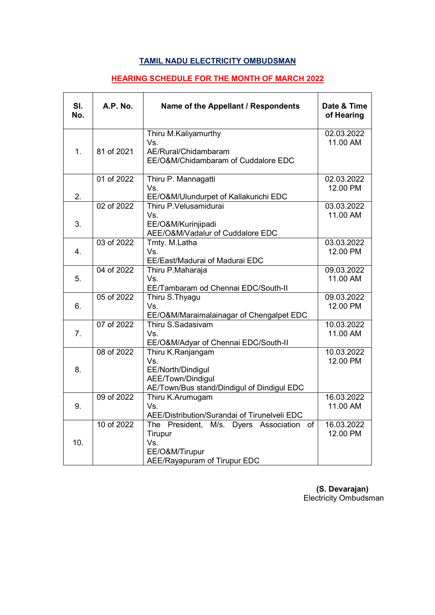## **TAMIL NADU ELECTRICITY OMBUDSMAN**

## **HEARING SCHEDULE FOR THE MONTH OF MARCH 2022**

| SI.<br>No. | A.P. No.   | Name of the Appellant / Respondents                                                                                | Date & Time<br>of Hearing |
|------------|------------|--------------------------------------------------------------------------------------------------------------------|---------------------------|
| 1.         | 81 of 2021 | Thiru M.Kaliyamurthy<br>Vs.<br>AE/Rural/Chidambaram<br>EE/O&M/Chidambaram of Cuddalore EDC                         | 02.03.2022<br>11.00 AM    |
| 2.         | 01 of 2022 | Thiru P. Mannagatti<br>Vs.<br>EE/O&M/Ulundurpet of Kallakurichi EDC                                                | 02.03.2022<br>12.00 PM    |
| 3.         | 02 of 2022 | Thiru P.Velusamidurai<br>Vs.<br>EE/O&M/Kurinjipadi<br>AEE/O&M/Vadalur of Cuddalore EDC                             | 03.03.2022<br>11.00 AM    |
| 4.         | 03 of 2022 | Tmty. M.Latha<br>Vs.<br>EE/East/Madurai of Madurai EDC                                                             | 03.03.2022<br>12.00 PM    |
| 5.         | 04 of 2022 | Thiru P.Maharaja<br>Vs.<br>EE/Tambaram od Chennai EDC/South-II                                                     | 09.03.2022<br>11.00 AM    |
| 6.         | 05 of 2022 | Thiru S. Thyagu<br>Vs.<br>EE/O&M/Maraimalainagar of Chengalpet EDC                                                 | 09.03.2022<br>12.00 PM    |
| 7.         | 07 of 2022 | Thiru S.Sadasivam<br>Vs.<br>EE/O&M/Adyar of Chennai EDC/South-II                                                   | 10.03.2022<br>11.00 AM    |
| 8.         | 08 of 2022 | Thiru K.Ranjangam<br>Vs.<br>EE/North/Dindigul<br>AEE/Town/Dindigul<br>AE/Town/Bus stand/Dindigul of Dindigul EDC   | 10.03.2022<br>12.00 PM    |
| 9.         | 09 of 2022 | Thiru K.Arumugam<br>Vs.<br>AEE/Distribution/Surandai of Tirunelveli EDC                                            | 16.03.2022<br>11.00 AM    |
| 10.        | 10 of 2022 | The President,<br>of<br>M/s. Dyers Association<br>Tirupur<br>Vs.<br>EE/O&M/Tirupur<br>AEE/Rayapuram of Tirupur EDC | 16.03.2022<br>12.00 PM    |

 **(S. Devarajan)** Electricity Ombudsman